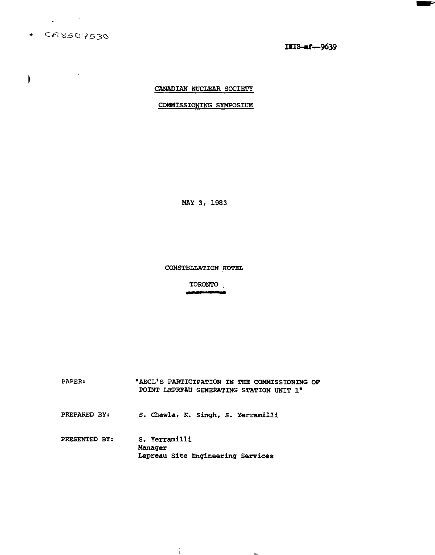$-CAS507530$ 

 $\frac{1}{2}$  ,  $\frac{1}{2}$  ,  $\frac{1}{2}$  ,  $\frac{1}{2}$ 

 $\mathbf{I}$ 

IIIS-af-9639

r

# CANADIAN NUCLEAR SOCIETY

## COMMISSIONING SYMPOSIUM

MAY 3, 1983

CONSTELLATION HOTEL

TORONTO . 

PAPER: "AECL'S PARTICIPATION IN THE COMMISSIONING OF POINT LEPRFAU GENERATING STATION UNIT 1" PREPARED BY: S. Chawla, K. Singh, S. Yerramilli PRESENTED BY: S. Yerramilli Manager Lepreau Site Engineering Services

j.

and the contract of the contract of

 $\sim$  -  $\sim$  -  $\sim$ 

and the state of the state of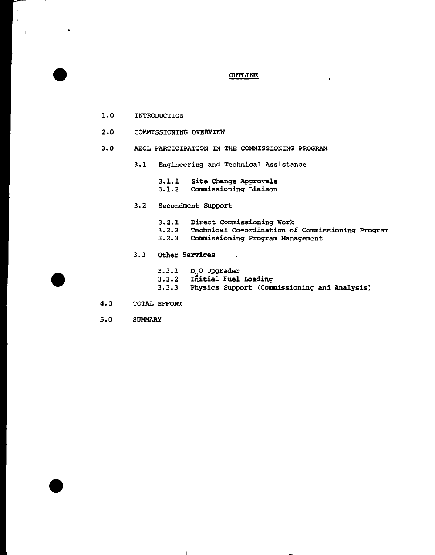# OUTLINE

 $\ensuremath{\mathsf{t}}$ 

- 1.0 INTRODUCTION
- 2.0 COMMISSIONING OVERVIEW
- 3.0 AECL PARTICIPATION IN THE COMMISSIONING PROGRAM
	- 3.1 Engineering and Technical Assistance
		- 3.1.1 Site Change Approvals<br>3.1.2 Commissioning Liaison
	- $3.2$ 
		- $3.2.1$ Direct Commissioning Work
		- 3.2.2 Technical Co-ordination of Commissioning Program<br>3.2.3 Commissioning Program Management
		- Commissioning Program Management

 $\overline{\phantom{a}}$ 

- 3.2.3 Commissioning Program Management 3.3 Other Services
	- 3.3.1 D\_O Upgrader
	- 3.3.2 Initial Fuel Loading
	- 3.3.3 Physics Support (Commissioning and Analysis)
- 4.0 TOTAL EFFORT
- 5.0 SUMMARY

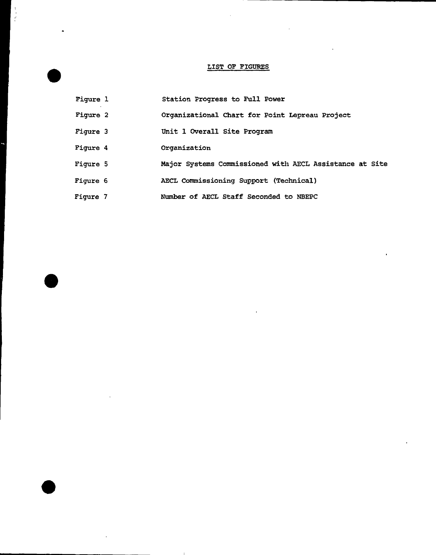# LIST OF FIGURES

- Figure 1 Station Progress to Full Power
- Figure 2 Organizational Chart for Point Lepreau Project
- Figure 3 Unit 1 Overall Site Program
- Figure 4 Organization
- Figure 5 Major Systems Commissioned with AECL Assistance at Site
- Figure 6 AECL Commissioning Support (Technical)
- Figure 7 Number of AECL Staff Seconded to NBEPC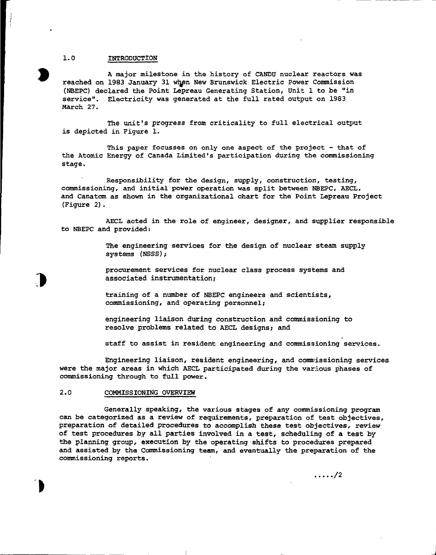#### 1.0 INTRODUCTION

A major milestone in the history of CANDU nuclear reactors was reached on 1983 January 31 when New Brunswick Electric Power Commission (NBEPC) declared the Point Lepreau Generating Station, Unit 1 to be "in service". Electricity was generated at the full rated output on 1983 March 27.

The unit's progress from criticality to full electrical output is depicted in Figure 1.

This paper focusses on only one aspect of the project - that of the Atomic Energy of Canada Limited's participation during the commissioning stage.

Responsibility for the design, supply, construction, testing, commissioning, and initial power operation was split between NBEPC, AECL, and Canatom as shown in the organizational chart for the Point Lepreau Project (Figure 2).

AECL acted in the role of engineer, designer, and supplier responsible to NBEPC and provided:

> The engineering services for the design of nuclear steam supply systems (NSSS);

procurement services for nuclear class process systems and associated instrumentation;

training of a number of NBEPC engineers and scientists, commissioning, and operating personnel;

engineering liaison during construction and commissioning to resolve problems related to AECL designs; and

staff to assist in resident engineering and commissioning services.

Engineering liaison, resident engineering, and commissioning services were the major areas in which AECL participated during the various phases of commissioning through to full power.

### 2.0 COMMISSIONING OVERVIEW

Generally speaking, the various stages of any commissioning program can be categorized as a review of requirements, preparation of test objectives, preparation of detailed procedures to accomplish these test objectives, review of test procedures by all parties involved in a test, scheduling of a test by the planning group, execution by the operating shifts to procedures prepared and assisted by the Commissioning team, and eventually the preparation of the commissioning reports.

 $\ldots$  /2

**J**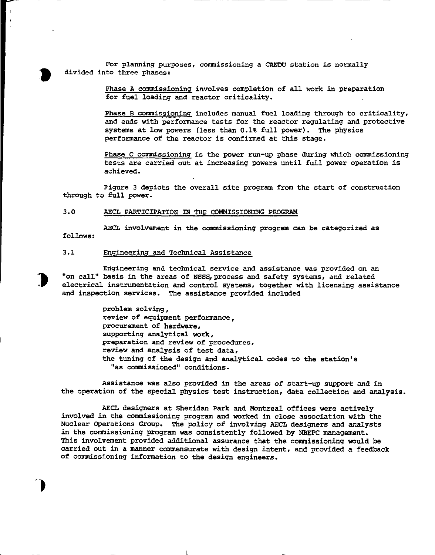For planning purposes, commissioning a CANDU station is normally divided into three phases:

> Phase A commissioning involves completion of all work in preparation for fuel loading and reactor criticality.

Phase B commissioning includes manual fuel loading through to criticality, and ends with performance tests for the reactor regulating and protective systems at low powers (less than 0.1% full power). The physics performance of the reactor is confirmed at this stage.

Phase C commissioning is the power run-up phase during which commissioning tests are carried out at increasing powers until full power operation is achieved.

Figure 3 depicts the overall site program from the start of construction through to full power.

## 3.0 AECL PARTICIPATION IN THE COMMISSIONING PROGRAM

AECL involvement in the commissioning program can be categorized as follows:

## 3.1 Engineering and Technical Assistance

Engineering and technical service and assistance was provided on an "on call" basis in the areas of NSSS, process and safety systems, and related electrical instrumentation and control systems, together with licensing assistance and inspection services. The assistance provided included

> problem solving, review of equipment performance, procurement of hardware, supporting analytical work, preparation and review of procedures, review and analysis of test data, the tuning of the design and analytical codes to the station's "as commissioned" conditions.

Assistance was also provided in the areas of start-up support and in the operation of the special physics test instruction, data collection and analysis.

AECL designers at Sheridan Park and Montreal offices were actively involved in the commissioning program and worked in close association with the Nuclear Operations Group. The policy of involving AECL designers and analysts in the commissioning program was consistently followed by NBEPC management. This involvement provided additional assurance that the commissioning would be carried out in a manner commensurate with design intent, and provided a feedback of commissioning information to the design engineers.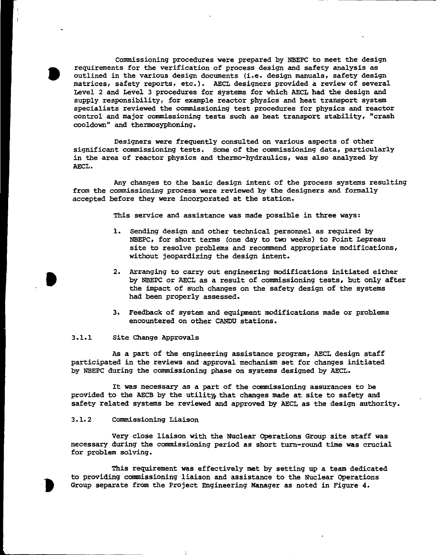Commissioning procedures were prepared by NBEPC to meet the design requirements for the verification of process design and safety analysis as outlined in the various design documents (i.e. design manuals, safety design matrices, safety reports, etc.). AECL designers provided a review of several Level 2 and Level 3 procedures for systems for which AECL had the design and supply responsibility, for example reactor physics and heat transport system specialists reviewed the commissioning test procedures for physics and reactor control and major commissioning tests such as heat transport stability, "crash cooldown" and thermosyphoning.

Designers were frequently consulted on various aspects of other significant commissioning tests. Some of the commissioning data, particularly in the area of reactor physics and thermo-hydraulics, was also analyzed by AECL.

Any changes to the basic design intent of the process systems resulting from the commissioning process were reviewed by the designers and formally accepted before they were incorporated at the station.

This service and assistance was made possible in three ways:

- 1. Sending design and other technical personnel as required by NBEPC/ for short terms (one day to two weeks) to Point Lepreau site to resolve problems and recommend appropriate modifications, without jeopardizing the design intent.
- 2. Arranging to carry out engineering modifications initiated either by NBEPC or AECL as a result of commissioning tests, but only after the impact of such changes on the safety design of the systems had been properly assessed.
- 3. Feedback of system and equipment modifications made or problems encountered on other CANDU stations.

#### 3.1.1 Site Change Approvals

As a part of the engineering assistance program, AECL design staff participated in the reviews and approval mechanism set for changes initiated by NBEPC during the commissioning phase on systems designed by AECL.

It was necessary as a part of the commissioning assurances to be provided to the AECB by the utility, that changes made at site to safety and safety related systems be reviewed and approved by AECL as the design authority.

# 3.1.2 Commissioning Liaison

Very close liaison with the Nuclear Operations Group site staff was necessary during the commissioning period as short turn-round time was crucial for problem solving.

This requirement was effectively met by setting up a team dedicated to providing commissioning liaison and assistance to the Nuclear Operations Group separate from the Project Engineering Manager as noted in Figure 4.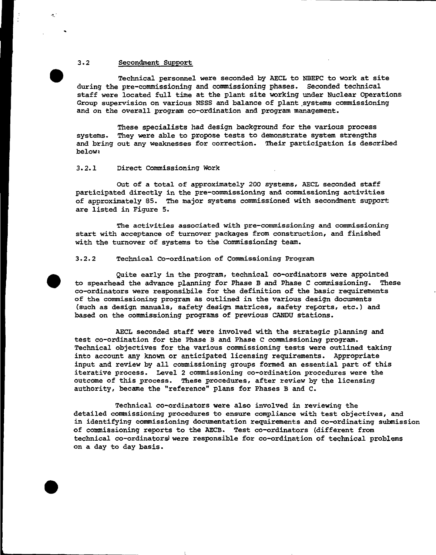## 3.2 Secondment Support

۸Ď

Technical personnel were seconded by AECL to NBEPC to work at site during the pre-commissioning and commissioning phases. Seconded technical staff were located full time at the plant site working under Nuclear Operations Group supervision on various NSSS and balance of plant systems commissioning and on the overall program co-ordination and program management.

These specialists had design background for the various process systems. They were able to propose tests to demonstrate system strengths and bring out any weaknesses for correction. Their participation is described below:

## 3.2.1 Direct Commissioning Work

Out of a total of approximately 200 systems, AECL seconded staff participated directly in the pre-commissioning and commissioning activities of approximately 85. The major systems commissioned with secondment support; are listed in Figure 5.

The activities associated with pre-commissioning and commissioning start with acceptance of turnover packages from construction, and finished with the turnover of systems to the Commissioning team.

## 3.2.2 Technical Co-ordination of Commissioning Program

Quite early in the program, technical co-ordinators were appointed to spearhead the advance planning for Phase B and Phase C commissioning. These co-ordinators were responsibile for the definition of the basic requirements of the commissioning program as outlined in the various design documents (such as design manuals, safety design matrices, safety reports, etc.) and based on the commissioning programs of previous CANDU stations.

AECL seconded staff were involved with the strategic planning and test co-ordination for the Phase B and Phase C commissioning program. Technical objectives for the various commissioning tests were outlined taking into account any known or anticipated licensing requirements. Appropriate input and review by all commissioning groups formed an essential part of this iterative process. Level 2 commissioning co-ordination procedures were the outcome of this process. These procedures, after review by the licensing authority, became the "reference" plans for Phases B and C.

Technical co-ordinators were also involved in reviewing the detailed commissioning procedures to ensure compliance with test objectives, and in identifying commissioning documentation requirements and co-ordinating submission of commissioning reports to the AECB. Test co-ordinators (different from technical co-ordinators were responsible for co-ordination of technical problems on a day to day basis.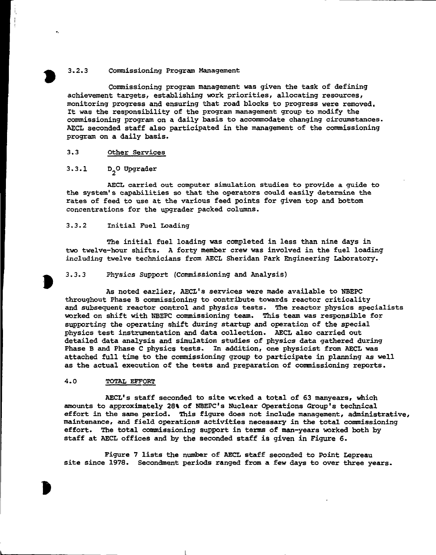## 3.2.3 Commissioning Program Management

Commissioning program management was given the task of defining achievement targets, establishing work priorities, allocating resources, monitoring progress and ensuring that road blocks to progress were removed. It was the responsibility of the program management group to modify the commissioning program on a daily basis to accommodate changing circumstances. AECL seconded staff also participated in the management of the commissioning program on a daily basis.

## 3.3 Other Services

# 3.3.1 D<sub>2</sub>O Upgrader

AECL carried out computer simulation studies to provide a guide to the system's capabilities so that the operators could easily determine the rates of feed to use at the various feed points for given top and bottom concentrations for the upgrader packed columns.

### 3.3.2 Initial Fuel Loading

The initial fuel loading was completed in less than nine days in two twelve-hour shifts. A forty member crew was involved in the fuel loading including twelve technicians from AECL Sheridan Park Engineering Laboratory.

#### 3.3.3 Physics Support {Commissioning and Analysis)

As noted earlier, AECL's services were made available to NBEPC throughout Phase B commissioning to contribute towards reactor criticality and subsequent reactor control and physics tests. The reactor physics specialists worked on shift with NBEPC commissioning team. This team was responsible for supporting the operating shift during startup and operation of the special physics test instrumentation and data collection. AECL also carried out detailed data analysis and simulation studies of physics data gathered during Phase B and Phase C physics tests. In addition, one physicist from AECL was attached full time to the commissioning group to participate in planning as well as the actual execution of the tests and preparation of commissioning reports.

### 4.0 TOTAL EFFORT

AECL's staff seconded to site worked a total of 63 manyears, which amounts to approximately 28% of NBEPC's Nuclear Operations Group's technical effort in the same period. This figure does not include management, administrative, maintenance, and field operations activities necessary in the total commissioning effort. The total commissioning support in terms of man-years worked both by staff at AECL offices and by the seconded staff is given in Figure 6.

Figure 7 lists the number of AECL staff seconded to Point Lepreau site since 1978. Secondment periods ranged from a few days to over three years.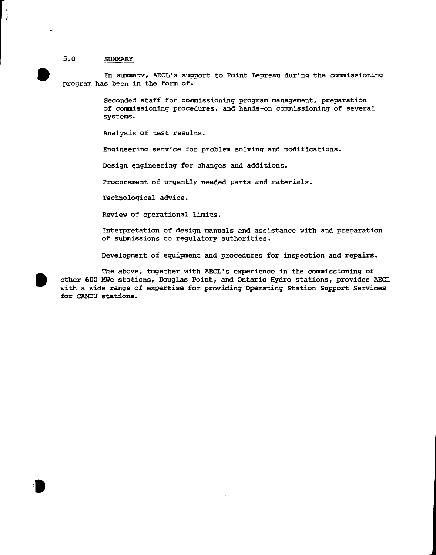## 5.0 SUMMARY

İ

In summary, AECL's support to Point Lepreau during the commissioning program has been in the form of:

> Seconded staff for commissioning program management, preparation of commissioning procedures, and hands-on commissioning of several systems.

Analysis of test results.

Engineering service for problem solving and modifications.

Design engineering for changes and additions.

Procurement of urgently needed parts and materials.

Technological advice.

Review of operational limits.

Interpretation of design manuals and assistance with and preparation of submissions to regulatory authorities.

Development of equipment and procedures for inspection and repairs.

The above, together with AECL's experience in the commissioning of other 600 MWe stations, Douglas Point, and Ontario Hydro stations, provides AECL with a wide range of expertise for providing Operating Station Support Services for CANDU stations.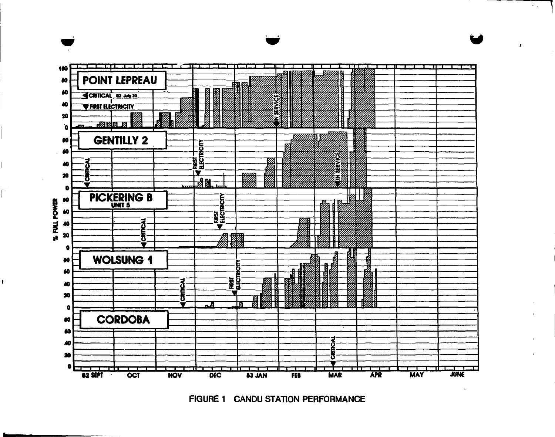

 $\sim$ 

FIGURE 1 CANDU STATION PERFORMANCE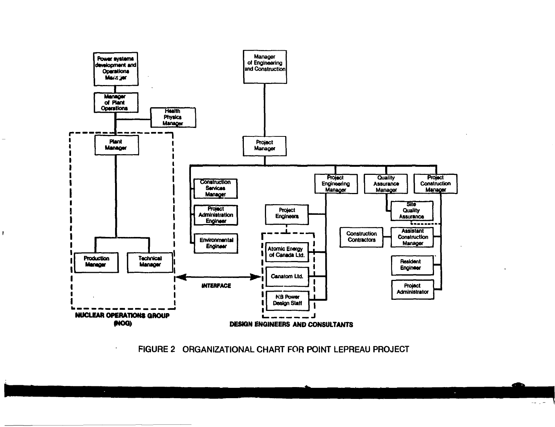

 $\mathbf{r}$ 

 $\cdot$ 

FIGURE 2 ORGANIZATIONAL CHART FOR POINT LEPREAU PROJECT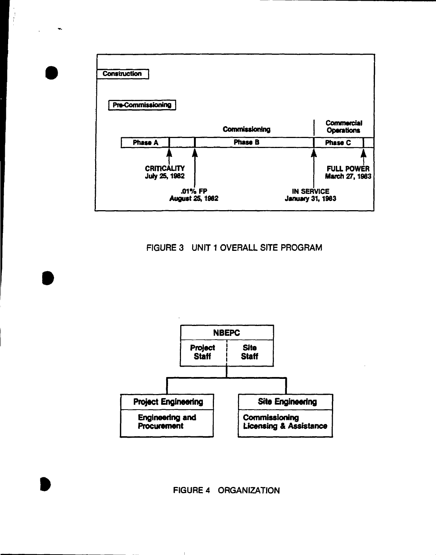

 $\mathcal{C}$ 

 $\blacksquare$ 

# FIGURE 3 UNIT 1 OVERALL SITE PROGRAM



# FIGURE 4 ORGANIZATION

 $\mathbf{I}$